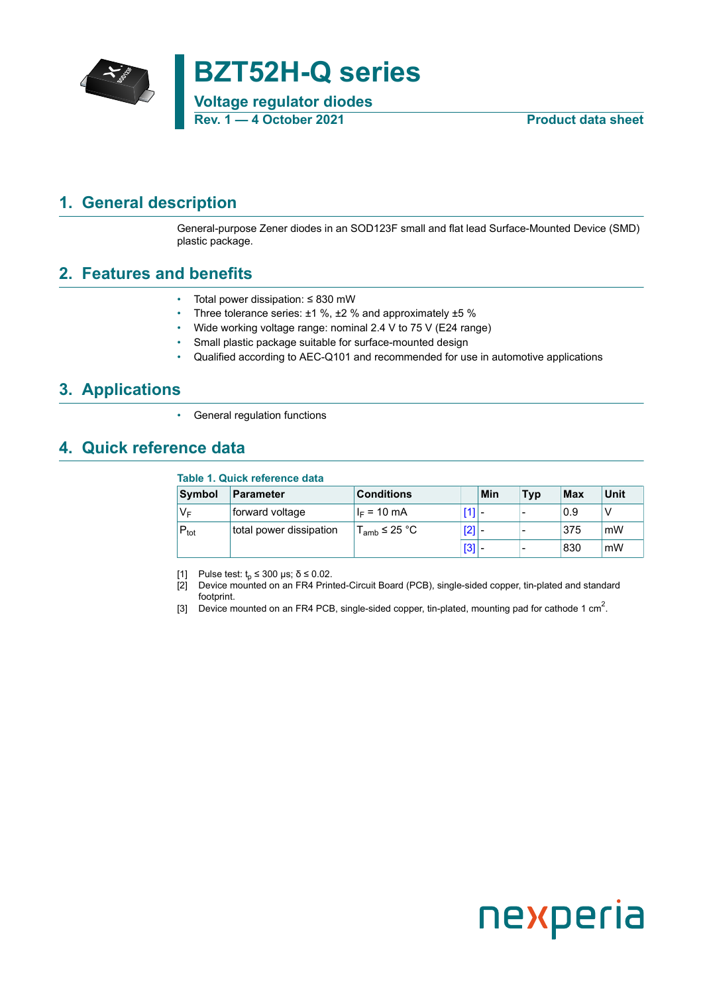

# **BZT52H-Q series**

**Voltage regulator diodes Rev. 1 — 4 October 2021 Product data sheet**

### <span id="page-0-1"></span>**1. General description**

<span id="page-0-0"></span>General-purpose Zener diodes in an SOD123F small and flat lead Surface-Mounted Device (SMD) plastic package.

### <span id="page-0-2"></span>**2. Features and benefits**

- Total power dissipation: ≤ 830 mW
- Three tolerance series: ±1 %, ±2 % and approximately ±5 %
- Wide working voltage range: nominal 2.4 V to 75 V (E24 range)
- Small plastic package suitable for surface-mounted design
- Qualified according to AEC-Q101 and recommended for use in automotive applications

### <span id="page-0-3"></span>**3. Applications**

General regulation functions

### <span id="page-0-4"></span>**4. Quick reference data**

|                  | Table 1. Quick reference data |                   |         |     |                          |            |      |  |  |  |  |
|------------------|-------------------------------|-------------------|---------|-----|--------------------------|------------|------|--|--|--|--|
| <b>Symbol</b>    | <b>Parameter</b>              | <b>Conditions</b> |         | Min | Typ                      | <b>Max</b> | Unit |  |  |  |  |
| V⊧               | forward voltage               | $I_F = 10$ mA     |         |     | $\overline{\phantom{a}}$ | 0.9        |      |  |  |  |  |
| $P_{\text{tot}}$ | total power dissipation       | $T_{amb}$ ≤ 25 °C | $[2]$ - |     | $\,$                     | 375        | mW   |  |  |  |  |
|                  |                               |                   | $ 3 $ - |     | $\overline{\phantom{0}}$ | 830        | mW   |  |  |  |  |

[1] Pulse test:  $t_p \le 300$  μs;  $\delta \le 0.02$ .

[2] Device mounted on an FR4 Printed-Circuit Board (PCB), single-sided copper, tin-plated and standard footprint.

[3] Device mounted on an FR4 PCB, single-sided copper, tin-plated, mounting pad for cathode 1 cm<sup>2</sup>.

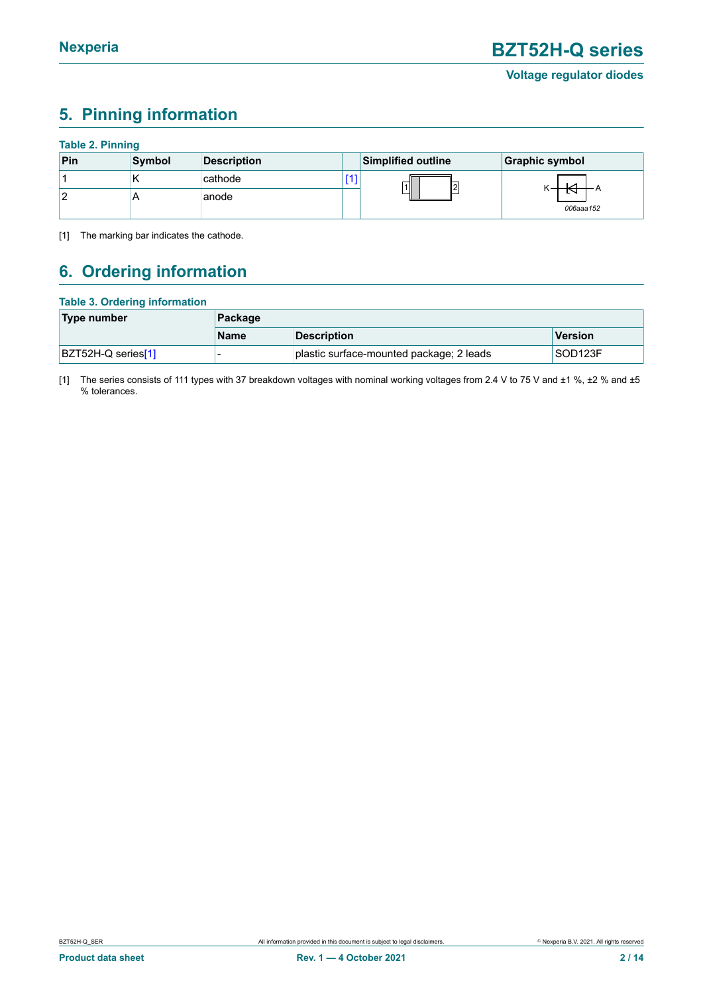## <span id="page-1-1"></span><span id="page-1-0"></span>**5. Pinning information**

### **Table 2. Pinning**

| Pin | Symbol | <b>Description</b> | <b>Simplified outline</b> | Graphic symbol |
|-----|--------|--------------------|---------------------------|----------------|
|     | . .    | cathode            | $\nabla$<br>  2           |                |
|     | ⌒      | anode              |                           | 006aaa152      |

[1] The marking bar indicates the cathode.

## <span id="page-1-2"></span>**6. Ordering information**

### **Table 3. Ordering information**

| Type number        | Package     |                                          |         |
|--------------------|-------------|------------------------------------------|---------|
|                    | <b>Name</b> | <b>Description</b>                       | Version |
| BZT52H-Q series[1] |             | plastic surface-mounted package; 2 leads | SOD123F |

[1] The series consists of 111 types with 37 breakdown voltages with nominal working voltages from 2.4 V to 75 V and ±1 %, ±2 % and ±5 % tolerances.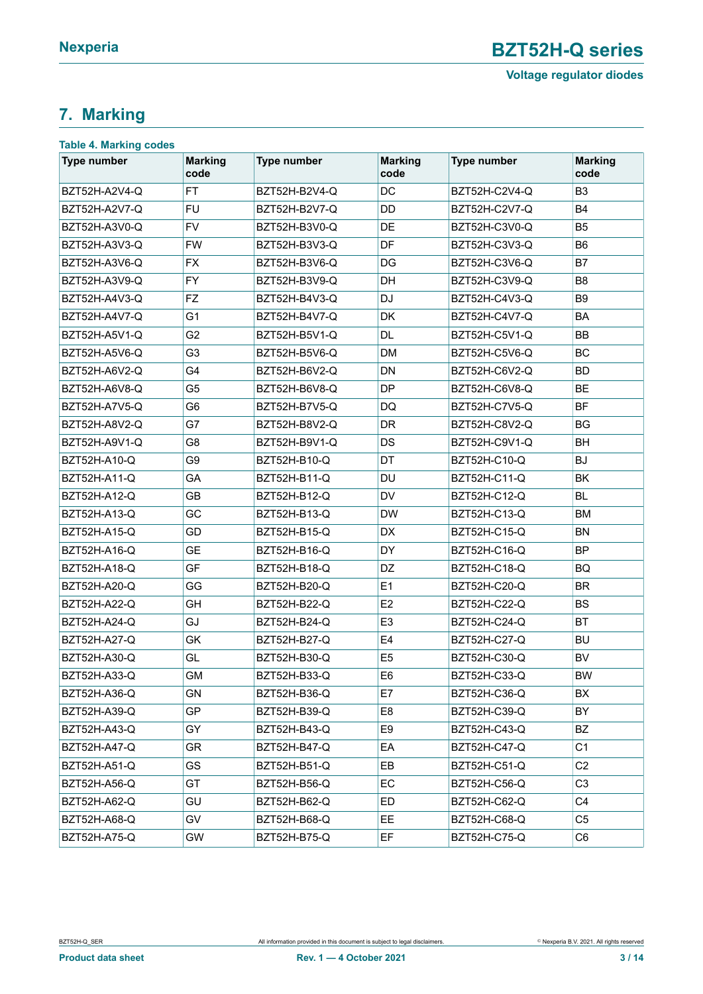**Voltage regulator diodes**

## <span id="page-2-0"></span>**7. Marking**

| <b>Type number</b>         | <b>Marking</b><br>code | <b>Type number</b> | <b>Marking</b><br>code | <b>Type number</b>  | <b>Marking</b><br>code |
|----------------------------|------------------------|--------------------|------------------------|---------------------|------------------------|
| BZT52H-A2V4-Q              | FT                     | BZT52H-B2V4-Q      | DC                     | BZT52H-C2V4-Q       | B <sub>3</sub>         |
| BZT52H-A2V7-Q              | <b>FU</b>              | BZT52H-B2V7-Q      | DD                     | BZT52H-C2V7-Q       | <b>B4</b>              |
| BZT52H-A3V0-Q              | <b>FV</b>              |                    | DE                     | BZT52H-C3V0-Q       | <b>B5</b>              |
| <b>FW</b><br>BZT52H-A3V3-Q |                        | BZT52H-B3V3-Q      | DF                     | BZT52H-C3V3-Q       | B <sub>6</sub>         |
| BZT52H-A3V6-Q              | <b>FX</b>              | BZT52H-B3V6-Q      | DG                     | BZT52H-C3V6-Q       | B7                     |
| BZT52H-A3V9-Q              | <b>FY</b>              | BZT52H-B3V9-Q      | <b>DH</b>              | BZT52H-C3V9-Q       | B <sub>8</sub>         |
| BZT52H-A4V3-Q              | <b>FZ</b>              | BZT52H-B4V3-Q      | <b>DJ</b>              | BZT52H-C4V3-Q       | B <sub>9</sub>         |
| BZT52H-A4V7-Q              | G <sub>1</sub>         | BZT52H-B4V7-Q      | DK                     | BZT52H-C4V7-Q       | <b>BA</b>              |
| BZT52H-A5V1-Q              | G <sub>2</sub>         | BZT52H-B5V1-Q      | DL.                    | BZT52H-C5V1-Q       | <b>BB</b>              |
| BZT52H-A5V6-Q              | G <sub>3</sub>         | BZT52H-B5V6-Q      | <b>DM</b>              | BZT52H-C5V6-Q       | BC                     |
| BZT52H-A6V2-Q              | G4                     | BZT52H-B6V2-Q      | DN                     | BZT52H-C6V2-Q       | <b>BD</b>              |
| BZT52H-A6V8-Q              | G <sub>5</sub>         | BZT52H-B6V8-Q      | <b>DP</b>              | BZT52H-C6V8-Q       | <b>BE</b>              |
| BZT52H-A7V5-Q              | G <sub>6</sub>         | BZT52H-B7V5-Q      | DQ                     | BZT52H-C7V5-Q       | <b>BF</b>              |
| BZT52H-A8V2-Q              | G7                     | BZT52H-B8V2-Q      | <b>DR</b>              | BZT52H-C8V2-Q       | <b>BG</b>              |
| BZT52H-A9V1-Q              | G <sub>8</sub>         | BZT52H-B9V1-Q      | DS                     | BZT52H-C9V1-Q       | <b>BH</b>              |
| BZT52H-A10-Q               | G <sub>9</sub>         | BZT52H-B10-Q       | DT                     | BZT52H-C10-Q        | <b>BJ</b>              |
| BZT52H-A11-Q               | GA                     | BZT52H-B11-Q       | <b>DU</b>              | BZT52H-C11-Q        | <b>BK</b>              |
| BZT52H-A12-Q               | <b>GB</b>              | BZT52H-B12-Q       | <b>DV</b>              | BZT52H-C12-Q        | <b>BL</b>              |
| BZT52H-A13-Q               | GC                     | BZT52H-B13-Q       | <b>DW</b>              | BZT52H-C13-Q        | <b>BM</b>              |
| BZT52H-A15-Q               | GD                     | BZT52H-B15-Q       | DX                     | <b>BZT52H-C15-Q</b> | <b>BN</b>              |
| BZT52H-A16-Q               | <b>GE</b>              | BZT52H-B16-Q       | DY                     | BZT52H-C16-Q        | <b>BP</b>              |
| BZT52H-A18-Q               | GF                     | BZT52H-B18-Q       | DZ                     | <b>BZT52H-C18-Q</b> | BQ                     |
| BZT52H-A20-Q               | GG                     | BZT52H-B20-Q       | E1                     | <b>BZT52H-C20-Q</b> | <b>BR</b>              |
| BZT52H-A22-Q               | <b>GH</b>              | BZT52H-B22-Q       | E <sub>2</sub>         | BZT52H-C22-Q        | <b>BS</b>              |
| BZT52H-A24-Q               | GJ                     | BZT52H-B24-Q       | E <sub>3</sub>         | <b>BZT52H-C24-Q</b> | <b>BT</b>              |
| BZT52H-A27-Q               | GK                     | BZT52H-B27-Q       | E4                     | BZT52H-C27-Q        | <b>BU</b>              |
| BZT52H-A30-Q               | GL                     | BZT52H-B30-Q       | E <sub>5</sub>         | BZT52H-C30-Q        | <b>BV</b>              |
| BZT52H-A33-Q               | GM                     | BZT52H-B33-Q       | E6                     | BZT52H-C33-Q        | <b>BW</b>              |
| BZT52H-A36-Q               | GN                     | BZT52H-B36-Q       | E7                     | BZT52H-C36-Q        | BX                     |
| BZT52H-A39-Q               | <b>GP</b>              | BZT52H-B39-Q       | E <sub>8</sub>         | BZT52H-C39-Q        | <b>BY</b>              |
| BZT52H-A43-Q               | GY                     | BZT52H-B43-Q       | E9                     | BZT52H-C43-Q        | BZ                     |
| BZT52H-A47-Q               | GR                     | BZT52H-B47-Q       | EA                     | BZT52H-C47-Q        | C <sub>1</sub>         |
| BZT52H-A51-Q               | GS                     | BZT52H-B51-Q       | EB                     | BZT52H-C51-Q        | C <sub>2</sub>         |
| BZT52H-A56-Q               | GT                     | BZT52H-B56-Q       | EC                     | BZT52H-C56-Q        | C <sub>3</sub>         |
| BZT52H-A62-Q               | GU                     | BZT52H-B62-Q       | ED.                    | BZT52H-C62-Q        | C4                     |
| BZT52H-A68-Q               | GV                     | BZT52H-B68-Q       | EE.                    | BZT52H-C68-Q        | C <sub>5</sub>         |
| BZT52H-A75-Q               | GW                     | BZT52H-B75-Q       | EF                     | BZT52H-C75-Q        | C6                     |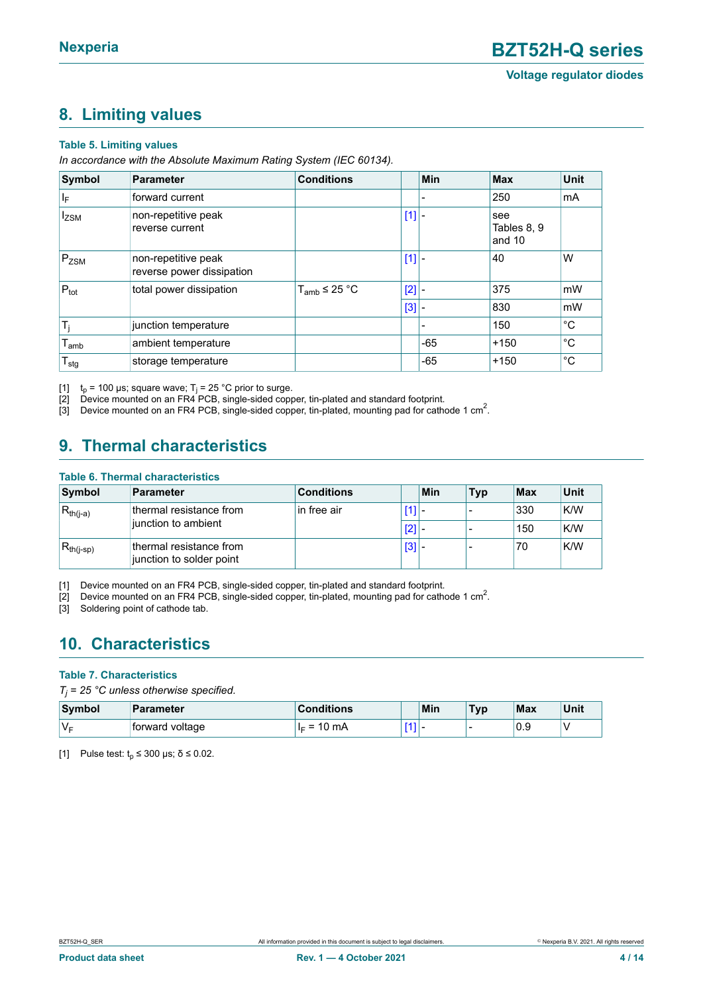### <span id="page-3-1"></span><span id="page-3-0"></span>**8. Limiting values**

#### **Table 5. Limiting values**

*In accordance with the Absolute Maximum Rating System (IEC 60134).*

| Symbol           | <b>Parameter</b>                                 | <b>Conditions</b> |     | Min   | Max                          | <b>Unit</b>  |
|------------------|--------------------------------------------------|-------------------|-----|-------|------------------------------|--------------|
| $ I_F $          | forward current                                  |                   |     |       | 250                          | mA           |
| $I_{ZSM}$        | non-repetitive peak<br>reverse current           |                   | [1] |       | see<br>Tables 8, 9<br>and 10 |              |
| $P_{ZSM}$        | non-repetitive peak<br>reverse power dissipation |                   | [1] |       | 40                           | W            |
| $P_{\text{tot}}$ | total power dissipation                          | $T_{amb}$ ≤ 25 °C | [2] |       | 375                          | mW           |
|                  |                                                  |                   | [3] |       | 830                          | mW           |
| $T_i$            | junction temperature                             |                   |     |       | 150                          | $^{\circ}C$  |
| $I_{amb}$        | ambient temperature                              |                   |     | $-65$ | $+150$                       | $^{\circ}$ C |
| $T_{\text{stg}}$ | storage temperature                              |                   |     | $-65$ | $+150$                       | $^{\circ}C$  |

[1]  $t_p$  = 100 µs; square wave; T<sub>j</sub> = 25 °C prior to surge.

ted the vice mounted on an FR4 PCB, single-sided copper, tin-plated and standard footprint.<br>[3] Device mounted on an FR4 PCB, single-sided copper, tin-plated, mounting pad for cath

 $[3]$  Device mounted on an FR4 PCB, single-sided copper, tin-plated, mounting pad for cathode 1 cm<sup>2</sup>.

### <span id="page-3-2"></span>**9. Thermal characteristics**

### **Table 6. Thermal characteristics**

| Symbol         | <b>Parameter</b>                                    | <b>Conditions</b> |     | Min | <b>Typ</b> | Max | Unit |
|----------------|-----------------------------------------------------|-------------------|-----|-----|------------|-----|------|
| $R_{th(j-a)}$  | thermal resistance from                             | in free air       | 11  |     |            | 330 | K/W  |
|                | junction to ambient                                 |                   |     | [2] |            | 150 | K/W  |
| $R_{th(j-sp)}$ | thermal resistance from<br>junction to solder point |                   | [3] |     |            | 70  | K/W  |

[1] Device mounted on an FR4 PCB, single-sided copper, tin-plated and standard footprint.

[2] Device mounted on an FR4 PCB, single-sided copper, tin-plated, mounting pad for cathode 1 cm<sup>2</sup>.

[3] Soldering point of cathode tab.

### <span id="page-3-3"></span>**10. Characteristics**

### **Table 7. Characteristics**

*Tj = 25 °C unless otherwise specified.*

| Symbol | <b>Parameter</b> | Conditions                                      |            | Min | <b>Typ</b> | Max | Unit |
|--------|------------------|-------------------------------------------------|------------|-----|------------|-----|------|
| V⊧     | forward voltage  | 10<br>mA<br>$\overline{\phantom{0}}$<br>⊩<br>-- | <b>FA3</b> |     | -          | 0.9 |      |

[1] Pulse test:  $t_p \le 300$  μs;  $\delta \le 0.02$ .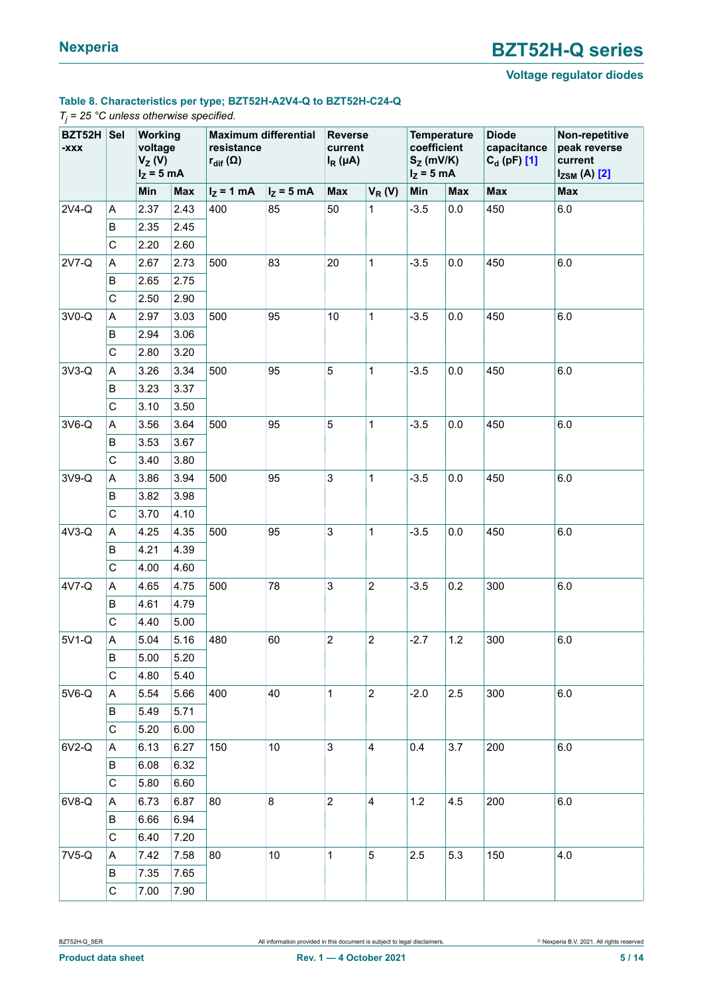### **Voltage regulator diodes**

### **Table 8. Characteristics per type; BZT52H-A2V4-Q to BZT52H-C24-Q**

#### *Tj = 25 °C unless otherwise specified.*

| BZT52H Sel<br>-XXX |              | Working<br>voltage<br>$V_Z(V)$<br>$I_Z = 5$ mA |            | <b>Maximum differential</b><br>resistance<br>$r_{\text{dif}}(\Omega)$ |              | <b>Reverse</b><br>current<br>$I_R(\mu A)$ |                         | <b>Temperature</b><br>coefficient<br>$S_{Z}$ (mV/K)<br>$I_Z = 5$ mA |            | <b>Diode</b><br>capacitance<br>$C_{d}$ (pF) [1] | Non-repetitive<br>peak reverse<br>current<br>$I_{ZSM}$ (A) $[2]$ |
|--------------------|--------------|------------------------------------------------|------------|-----------------------------------------------------------------------|--------------|-------------------------------------------|-------------------------|---------------------------------------------------------------------|------------|-------------------------------------------------|------------------------------------------------------------------|
|                    |              | Min                                            | <b>Max</b> | $I_Z = 1$ mA                                                          | $I_Z = 5$ mA | <b>Max</b>                                | $V_R(V)$                | Min                                                                 | <b>Max</b> | <b>Max</b>                                      | <b>Max</b>                                                       |
| 2V4-Q              | Α            | 2.37                                           | 2.43       | 400                                                                   | 85           | 50                                        | 1                       | $-3.5$                                                              | 0.0        | 450                                             | 6.0                                                              |
|                    | B            | 2.35                                           | 2.45       |                                                                       |              |                                           |                         |                                                                     |            |                                                 |                                                                  |
|                    | C            | 2.20                                           | 2.60       |                                                                       |              |                                           |                         |                                                                     |            |                                                 |                                                                  |
| 2V7-Q              | Α            | 2.67                                           | 2.73       | 500                                                                   | 83           | 20                                        | 1                       | $-3.5$                                                              | 0.0        | 450                                             | 6.0                                                              |
|                    | B            | 2.65                                           | 2.75       |                                                                       |              |                                           |                         |                                                                     |            |                                                 |                                                                  |
|                    | C            | 2.50                                           | 2.90       |                                                                       |              |                                           |                         |                                                                     |            |                                                 |                                                                  |
| 3V0-Q              | Α            | 2.97                                           | 3.03       | 500                                                                   | 95           | 10                                        | 1                       | $-3.5$                                                              | 0.0        | 450                                             | 6.0                                                              |
|                    | В            | 2.94                                           | 3.06       |                                                                       |              |                                           |                         |                                                                     |            |                                                 |                                                                  |
|                    | $\mathsf{C}$ | 2.80                                           | 3.20       |                                                                       |              |                                           |                         |                                                                     |            |                                                 |                                                                  |
| $3V3-Q$            | Α            | 3.26                                           | 3.34       | 500                                                                   | 95           | 5                                         | 1                       | $-3.5$                                                              | 0.0        | 450                                             | 6.0                                                              |
|                    | В            | 3.23                                           | 3.37       |                                                                       |              |                                           |                         |                                                                     |            |                                                 |                                                                  |
|                    | $\mathsf C$  | 3.10                                           | 3.50       |                                                                       |              |                                           |                         |                                                                     |            |                                                 |                                                                  |
| 3V6-Q              | Α            | 3.56                                           | 3.64       | 500                                                                   | 95           | 5                                         | 1                       | $-3.5$                                                              | 0.0        | 450                                             | 6.0                                                              |
|                    | В            | 3.53                                           | 3.67       |                                                                       |              |                                           |                         |                                                                     |            |                                                 |                                                                  |
|                    | C            | 3.40                                           | 3.80       |                                                                       |              |                                           |                         |                                                                     |            |                                                 |                                                                  |
| 3V9-Q              | Α            | 3.86                                           | 3.94       | 500                                                                   | 95           | $\mathbf{3}$                              | 1                       | $-3.5$                                                              | 0.0        | 450                                             | $6.0\,$                                                          |
|                    | B            | 3.82                                           | 3.98       |                                                                       |              |                                           |                         |                                                                     |            |                                                 |                                                                  |
|                    | C            | 3.70                                           | 4.10       |                                                                       |              |                                           |                         |                                                                     |            |                                                 |                                                                  |
| 4V3-Q              | Α            | 4.25                                           | 4.35       | 500                                                                   | 95           | $\mathbf{3}$                              | 1                       | $-3.5$                                                              | 0.0        | 450                                             | 6.0                                                              |
|                    | B            | 4.21                                           | 4.39       |                                                                       |              |                                           |                         |                                                                     |            |                                                 |                                                                  |
|                    | C            | 4.00                                           | 4.60       |                                                                       |              |                                           |                         |                                                                     |            |                                                 |                                                                  |
| 4V7-Q              | Α            | 4.65                                           | 4.75       | 500                                                                   | 78           | 3                                         | $\overline{c}$          | $-3.5$                                                              | 0.2        | 300                                             | 6.0                                                              |
|                    | В            | 4.61                                           | 4.79       |                                                                       |              |                                           |                         |                                                                     |            |                                                 |                                                                  |
|                    | $\mathsf C$  | 4.40                                           | 5.00       |                                                                       |              |                                           |                         |                                                                     |            |                                                 |                                                                  |
| 5V1-Q              | Α            | 5.04                                           | 5.16       | 480                                                                   | 60           | $\overline{c}$                            | 2                       | $-2.7$                                                              | 1.2        | 300                                             | 6.0                                                              |
|                    | В            | 5.00                                           | 5.20       |                                                                       |              |                                           |                         |                                                                     |            |                                                 |                                                                  |
|                    | C            | 4.80                                           | 5.40       |                                                                       |              |                                           |                         |                                                                     |            |                                                 |                                                                  |
| 5V6-Q              | Α            | 5.54                                           | 5.66       | 400                                                                   | 40           | 1                                         | $\overline{2}$          | $-2.0$                                                              | 2.5        | 300                                             | $6.0\,$                                                          |
|                    | В            | 5.49                                           | 5.71       |                                                                       |              |                                           |                         |                                                                     |            |                                                 |                                                                  |
|                    | C            | 5.20                                           | 6.00       |                                                                       |              |                                           |                         |                                                                     |            |                                                 |                                                                  |
| 6V2-Q              | А            | 6.13                                           | 6.27       | 150                                                                   | $10$         | $\mathbf{3}$                              | $\overline{\mathbf{4}}$ | 0.4                                                                 | 3.7        | 200                                             | 6.0                                                              |
|                    | В            | 6.08                                           | 6.32       |                                                                       |              |                                           |                         |                                                                     |            |                                                 |                                                                  |
|                    | C            | 5.80                                           | 6.60       |                                                                       |              |                                           |                         |                                                                     |            |                                                 |                                                                  |
| 6V8-Q              | Α            | 6.73                                           | 6.87       | 80                                                                    | 8            | $\boldsymbol{2}$                          | 4                       | 1.2                                                                 | 4.5        | 200                                             | $6.0\,$                                                          |
|                    | В            | 6.66                                           | 6.94       |                                                                       |              |                                           |                         |                                                                     |            |                                                 |                                                                  |
|                    | C            | 6.40                                           | 7.20       |                                                                       |              |                                           |                         |                                                                     |            |                                                 |                                                                  |
| 7V5-Q              | Α            | 7.42                                           | 7.58       | 80                                                                    | $10$         | 1                                         | $\sqrt{5}$              | 2.5                                                                 | 5.3        | 150                                             | 4.0                                                              |
|                    | B            | 7.35                                           | 7.65       |                                                                       |              |                                           |                         |                                                                     |            |                                                 |                                                                  |
|                    | $\mathsf C$  | 7.00                                           | 7.90       |                                                                       |              |                                           |                         |                                                                     |            |                                                 |                                                                  |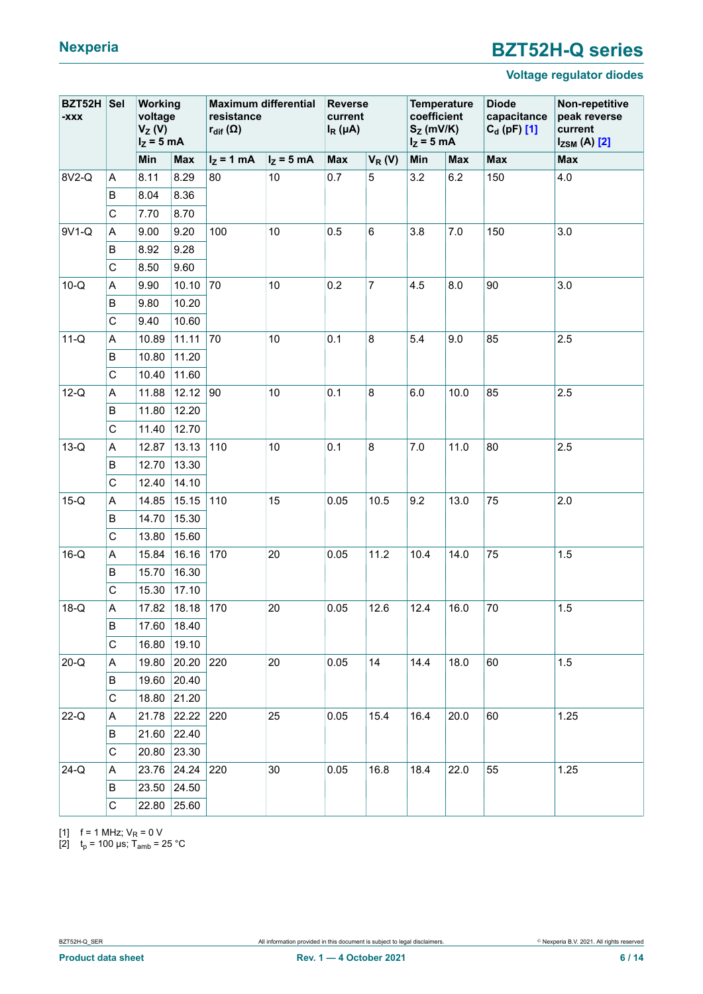### **Voltage regulator diodes**

<span id="page-5-0"></span>

| XXX-     | Sel<br><b>BZT52H</b><br>Working<br>voltage<br>$V_Z(V)$<br>$I_Z = 5$ mA |       |                      | <b>Maximum differential</b><br>resistance<br>$r_{\text{dif}}(\Omega)$ |              | <b>Reverse</b><br>current<br>$I_R(\mu A)$ |                | coefficient<br>$S_Z$ (mV/K)<br>$I_z = 5$ mA | <b>Temperature</b> | <b>Diode</b><br>capacitance<br>$C_d$ (pF) [1] | Non-repetitive<br>peak reverse<br>current<br>$I_{ZSM}$ (A) $[2]$ |
|----------|------------------------------------------------------------------------|-------|----------------------|-----------------------------------------------------------------------|--------------|-------------------------------------------|----------------|---------------------------------------------|--------------------|-----------------------------------------------|------------------------------------------------------------------|
|          |                                                                        | Min   | <b>Max</b>           | $I_z = 1$ mA                                                          | $I_z = 5$ mA | <b>Max</b>                                | $V_R(V)$       | Min                                         | <b>Max</b>         | <b>Max</b>                                    | <b>Max</b>                                                       |
| 8V2-Q    | Α                                                                      | 8.11  | 8.29                 | 80                                                                    | 10           | 0.7                                       | $\overline{5}$ | 3.2                                         | 6.2                | 150                                           | 4.0                                                              |
|          | В                                                                      | 8.04  | 8.36                 |                                                                       |              |                                           |                |                                             |                    |                                               |                                                                  |
|          | C                                                                      | 7.70  | 8.70                 |                                                                       |              |                                           |                |                                             |                    |                                               |                                                                  |
| 9V1-Q    | Α                                                                      | 9.00  | 9.20                 | 100                                                                   | 10           | 0.5                                       | $\,6\,$        | 3.8                                         | 7.0                | 150                                           | 3.0                                                              |
|          | В                                                                      | 8.92  | 9.28                 |                                                                       |              |                                           |                |                                             |                    |                                               |                                                                  |
|          | C                                                                      | 8.50  | 9.60                 |                                                                       |              |                                           |                |                                             |                    |                                               |                                                                  |
| $10-Q$   | A                                                                      | 9.90  | 10.10                | 70                                                                    | 10           | 0.2                                       | $\overline{7}$ | 4.5                                         | 8.0                | 90                                            | 3.0                                                              |
|          | В                                                                      | 9.80  | 10.20                |                                                                       |              |                                           |                |                                             |                    |                                               |                                                                  |
|          | C                                                                      | 9.40  | 10.60                |                                                                       |              |                                           |                |                                             |                    |                                               |                                                                  |
| $11-Q$   | Α                                                                      | 10.89 | 11.11                | 70                                                                    | 10           | 0.1                                       | 8              | 5.4                                         | 9.0                | 85                                            | 2.5                                                              |
|          | B                                                                      | 10.80 | 11.20                |                                                                       |              |                                           |                |                                             |                    |                                               |                                                                  |
|          | C                                                                      | 10.40 | 11.60                |                                                                       |              |                                           |                |                                             |                    |                                               |                                                                  |
| $12-Q$   | А                                                                      | 11.88 | 12.12                | 90                                                                    | 10           | 0.1                                       | 8              | 6.0                                         | 10.0               | 85                                            | 2.5                                                              |
|          | B                                                                      | 11.80 | 12.20                |                                                                       |              |                                           |                |                                             |                    |                                               |                                                                  |
|          | C                                                                      | 11.40 | 12.70                |                                                                       |              |                                           |                |                                             |                    |                                               |                                                                  |
| $13-Q$   | Α                                                                      | 12.87 | 13.13                | 110                                                                   | 10           | 0.1                                       | 8              | 7.0                                         | 11.0               | 80                                            | 2.5                                                              |
|          | В                                                                      | 12.70 | 13.30                |                                                                       |              |                                           |                |                                             |                    |                                               |                                                                  |
|          | $\mathsf{C}$                                                           | 12.40 | 14.10                |                                                                       |              |                                           |                |                                             |                    |                                               |                                                                  |
| $15-Q$   | Α                                                                      | 14.85 | 15.15                | 110                                                                   | 15           | 0.05                                      | 10.5           | 9.2                                         | 13.0               | 75                                            | 2.0                                                              |
|          | B                                                                      | 14.70 | 15.30                |                                                                       |              |                                           |                |                                             |                    |                                               |                                                                  |
|          | C                                                                      | 13.80 | 15.60                |                                                                       |              |                                           |                |                                             |                    |                                               |                                                                  |
| $16-Q$   | A                                                                      | 15.84 | 16.16                | 170                                                                   | 20           | 0.05                                      | 11.2           | 10.4                                        | 14.0               | 75                                            | 1.5                                                              |
|          | В                                                                      | 15.70 | 16.30                |                                                                       |              |                                           |                |                                             |                    |                                               |                                                                  |
|          | $\mathsf{C}$                                                           | 15.30 | 17.10                |                                                                       |              |                                           |                |                                             |                    |                                               |                                                                  |
| $18-Q$   | А                                                                      | 17.82 | 18.18                | 170                                                                   | 20           | 0.05                                      | 12.6           | 12.4                                        | 16.0               | 70                                            | 1.5                                                              |
|          | B                                                                      |       | $\sqrt{17.60}$ 18.40 |                                                                       |              |                                           |                |                                             |                    |                                               |                                                                  |
|          | C                                                                      | 16.80 | 19.10                |                                                                       |              |                                           |                |                                             |                    |                                               |                                                                  |
| $20 - Q$ | Α                                                                      | 19.80 | 20.20 220            |                                                                       | 20           | 0.05                                      | 14             | 14.4                                        | 18.0               | 60                                            | 1.5                                                              |
|          | в                                                                      | 19.60 | 20.40                |                                                                       |              |                                           |                |                                             |                    |                                               |                                                                  |
|          | C                                                                      | 18.80 | 21.20                |                                                                       |              |                                           |                |                                             |                    |                                               |                                                                  |
| $22-Q$   | Α                                                                      | 21.78 | 22.22                | 220                                                                   | 25           | 0.05                                      | 15.4           | 16.4                                        | 20.0               | 60                                            | 1.25                                                             |
|          | В                                                                      | 21.60 | 22.40                |                                                                       |              |                                           |                |                                             |                    |                                               |                                                                  |
|          | C                                                                      | 20.80 | 23.30                |                                                                       |              |                                           |                |                                             |                    |                                               |                                                                  |
| $24-Q$   | Α                                                                      | 23.76 | 24.24                | 220                                                                   | 30           | 0.05                                      | 16.8           | 18.4<br>22.0                                | 55                 | 1.25                                          |                                                                  |
|          | В                                                                      | 23.50 | 24.50                |                                                                       |              |                                           |                |                                             |                    |                                               |                                                                  |
|          | C                                                                      | 22.80 | 25.60                |                                                                       |              |                                           |                |                                             |                    |                                               |                                                                  |

[1] f = 1 MHz;  $V_R$  = 0 V

[2]  $t_p$  = 100 μs; T<sub>amb</sub> = 25 °C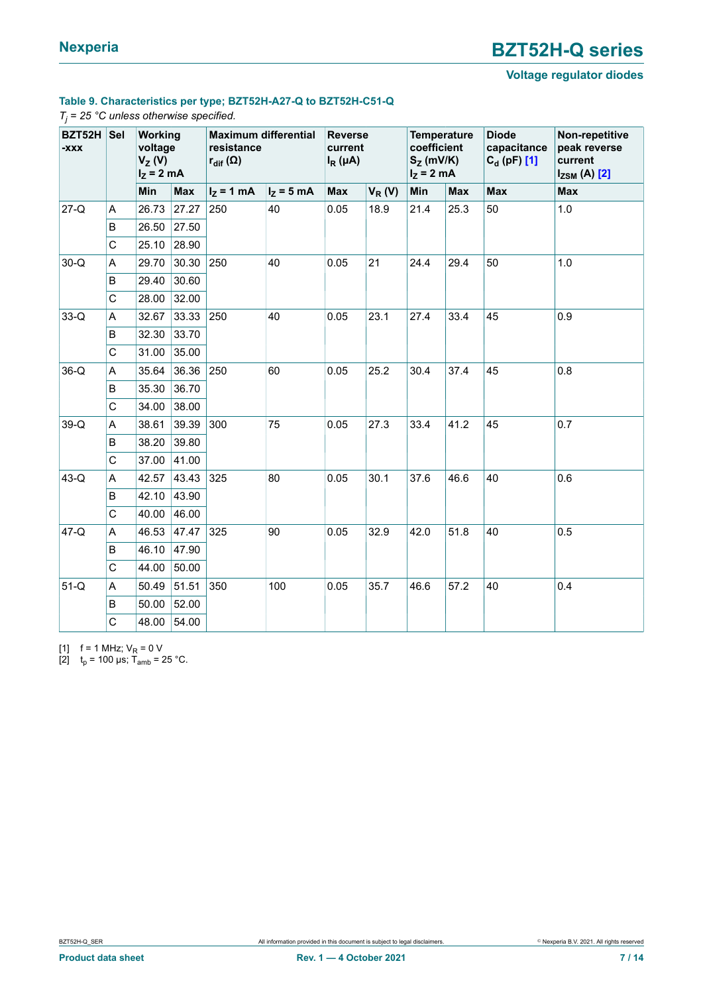### **Voltage regulator diodes**

### <span id="page-6-0"></span>**Table 9. Characteristics per type; BZT52H-A27-Q to BZT52H-C51-Q**

#### *Tj = 25 °C unless otherwise specified.*

| BZT52H<br>XXX- | <b>Sel</b> | <b>Working</b><br>voltage<br>$V_Z(V)$<br>$I_Z = 2$ mA |            | <b>Maximum differential</b><br>resistance<br>$r_{\text{dif}}(\Omega)$ |             |      | <b>Reverse</b><br>current<br>$I_R(\mu A)$ |      | <b>Temperature</b><br>coefficient<br>$S_Z$ (mV/K)<br>$I_z = 2$ mA | <b>Diode</b><br>capacitance<br>$C_{d}$ (pF) [1] | Non-repetitive<br>peak reverse<br>current<br>$I_{ZSM}$ (A) $[2]$ |
|----------------|------------|-------------------------------------------------------|------------|-----------------------------------------------------------------------|-------------|------|-------------------------------------------|------|-------------------------------------------------------------------|-------------------------------------------------|------------------------------------------------------------------|
|                |            | Min                                                   | <b>Max</b> | $I_Z = 1$ mA                                                          | $IZ$ = 5 mA | Max  | $V_R(V)$                                  | Min  | <b>Max</b>                                                        | <b>Max</b>                                      | <b>Max</b>                                                       |
| $27-Q$         | Α          | 26.73                                                 | 27.27      | 250                                                                   | 40          | 0.05 | 18.9                                      | 21.4 | 25.3                                                              | 50                                              | 1.0                                                              |
|                | B          | 26.50                                                 | 27.50      |                                                                       |             |      |                                           |      |                                                                   |                                                 |                                                                  |
|                | C          | 25.10                                                 | 28.90      |                                                                       |             |      |                                           |      |                                                                   |                                                 |                                                                  |
| $30-Q$         | Α          | 29.70                                                 | 30.30      | 250                                                                   | 40          | 0.05 | 21                                        | 24.4 | 29.4                                                              | 50                                              | 1.0                                                              |
| $33-Q$         | В          | 29.40                                                 | 30.60      |                                                                       |             |      |                                           |      |                                                                   |                                                 |                                                                  |
|                | C          | 28.00                                                 | 32.00      |                                                                       |             |      |                                           |      |                                                                   |                                                 |                                                                  |
|                | A          | 32.67                                                 | 33.33      | 250                                                                   | 40          | 0.05 | 23.1                                      | 27.4 | 33.4                                                              | 45                                              | 0.9                                                              |
|                | B          | 32.30                                                 | 33.70      |                                                                       |             |      |                                           |      |                                                                   |                                                 |                                                                  |
|                | C          | 31.00                                                 | 35.00      |                                                                       |             |      |                                           |      |                                                                   |                                                 |                                                                  |
| $36-Q$         | A          | 35.64                                                 | 36.36      | 250                                                                   | 60          | 0.05 | 25.2                                      | 30.4 | 37.4                                                              | 45                                              | 0.8                                                              |
|                | B          | 35.30                                                 | 36.70      |                                                                       |             |      |                                           |      |                                                                   |                                                 |                                                                  |
|                | C          | 34.00                                                 | 38.00      |                                                                       |             |      |                                           |      |                                                                   |                                                 |                                                                  |
| $39-Q$         | A          | 38.61                                                 | 39.39      | 300                                                                   | 75          | 0.05 | 27.3                                      | 33.4 | 41.2                                                              | 45                                              | 0.7                                                              |
|                | В          | 38.20                                                 | 39.80      |                                                                       |             |      |                                           |      |                                                                   |                                                 |                                                                  |
|                | C          | 37.00                                                 | 41.00      |                                                                       |             |      |                                           |      |                                                                   |                                                 |                                                                  |
| $43-Q$         | Α          | 42.57                                                 | 43.43      | 325                                                                   | 80          | 0.05 | 30.1                                      | 37.6 | 46.6                                                              | 40                                              | 0.6                                                              |
|                | B          | 42.10                                                 | 43.90      |                                                                       |             |      |                                           |      |                                                                   |                                                 |                                                                  |
|                | C          | 40.00                                                 | 46.00      |                                                                       |             |      |                                           |      |                                                                   |                                                 |                                                                  |
| $47-Q$         | A          | 46.53                                                 | 47.47      | 325                                                                   | 90          | 0.05 | 32.9                                      | 42.0 | 51.8                                                              | 40                                              | 0.5                                                              |
|                | B          | 46.10                                                 | 47.90      |                                                                       |             |      |                                           |      |                                                                   |                                                 |                                                                  |
|                | C          | 44.00                                                 | 50.00      |                                                                       |             |      |                                           |      |                                                                   |                                                 |                                                                  |
| $51-Q$         | A          | 50.49                                                 | 51.51      | 350                                                                   | 100         | 0.05 | 35.7                                      | 46.6 | 57.2                                                              | 40                                              | 0.4                                                              |
|                | В          | 50.00                                                 | 52.00      |                                                                       |             |      |                                           |      |                                                                   |                                                 |                                                                  |
|                | C          | 48.00                                                 | 54.00      |                                                                       |             |      |                                           |      |                                                                   |                                                 |                                                                  |

[1]  $f = 1$  MHz;  $V_R = 0$  V

[2]  $t_p = 100 \text{ }\mu\text{s}$ ;  $\hat{T}_{amb} = 25 \text{ }^{\circ}\text{C}$ .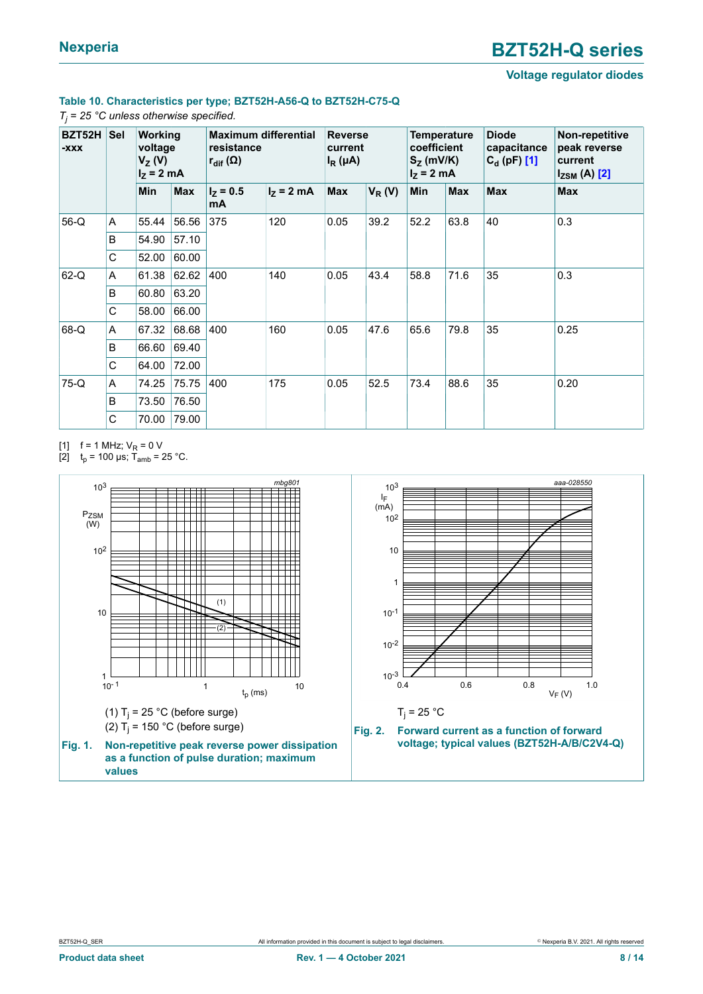### **Voltage regulator diodes**

### **Table 10. Characteristics per type; BZT52H-A56-Q to BZT52H-C75-Q**

#### <span id="page-7-0"></span>*Tj = 25 °C unless otherwise specified.*

| BZT52H<br>$-XXX$ | <b>Sel</b> | <b>Working</b><br>voltage<br>$V_Z(V)$<br>$I_7 = 2$ mA |            | <b>Maximum differential</b><br>resistance<br>$\mathsf{r}_{\mathsf{dif}}\left(\Omega\right)$ |              | <b>Reverse</b><br>current<br>$I_R(\mu A)$ |          | <b>Temperature</b><br>coefficient<br>$S_{Z}$ (mV/K)<br>$I_z = 2$ mA |            | <b>Diode</b><br>capacitance<br>$C_{d}$ (pF) [1] | Non-repetitive<br>peak reverse<br>current<br>$I_{ZSM}$ (A) $[2]$ |
|------------------|------------|-------------------------------------------------------|------------|---------------------------------------------------------------------------------------------|--------------|-------------------------------------------|----------|---------------------------------------------------------------------|------------|-------------------------------------------------|------------------------------------------------------------------|
|                  |            | <b>Min</b>                                            | <b>Max</b> | $I_{Z} = 0.5$<br>mA                                                                         | $I_z = 2$ mA | <b>Max</b>                                | $V_R(V)$ | <b>Min</b>                                                          | <b>Max</b> | <b>Max</b>                                      | <b>Max</b>                                                       |
| $56-Q$           | Α          | 55.44                                                 | 56.56      | 375                                                                                         | 120          | 0.05                                      | 39.2     | 52.2                                                                | 63.8       | 40                                              | 0.3                                                              |
|                  | B          | 54.90                                                 | 57.10      |                                                                                             |              |                                           |          |                                                                     |            |                                                 |                                                                  |
|                  | C          | 52.00                                                 | 60.00      | 400                                                                                         |              |                                           |          |                                                                     |            |                                                 |                                                                  |
| $62-Q$           | A          | 61.38                                                 | 62.62      |                                                                                             | 140          | 0.05                                      | 43.4     | 58.8                                                                | 71.6       | 35                                              | 0.3                                                              |
|                  | B          | 60.80                                                 | 63.20      |                                                                                             |              |                                           |          | 65.6<br>79.8                                                        |            |                                                 | 0.25                                                             |
|                  | C          | 58.00                                                 | 66.00      |                                                                                             |              |                                           |          |                                                                     |            |                                                 |                                                                  |
| 68-Q             | A          | 67.32                                                 | 68.68      | 400                                                                                         | 160          | 0.05                                      | 47.6     |                                                                     |            | 35                                              |                                                                  |
|                  | B          | 66.60                                                 | 69.40      |                                                                                             |              |                                           |          |                                                                     |            |                                                 |                                                                  |
|                  | C          | 64.00                                                 | 72.00      |                                                                                             |              |                                           |          |                                                                     |            |                                                 |                                                                  |
| 75-Q             | A          | 74.25                                                 | 75.75      | 400                                                                                         | 175          | 0.05                                      | 52.5     | 73.4                                                                | 88.6       | 35                                              | 0.20                                                             |
|                  | B          | 73.50                                                 | 76.50      |                                                                                             |              |                                           |          |                                                                     |            |                                                 |                                                                  |
|                  | C          | 70.00                                                 | 79.00      |                                                                                             |              |                                           |          |                                                                     |            |                                                 |                                                                  |

[1] f = 1 MHz;  $V_R$  = 0 V

[2]  $t_p$  = 100 μs; T<sub>amb</sub> = 25 °C.

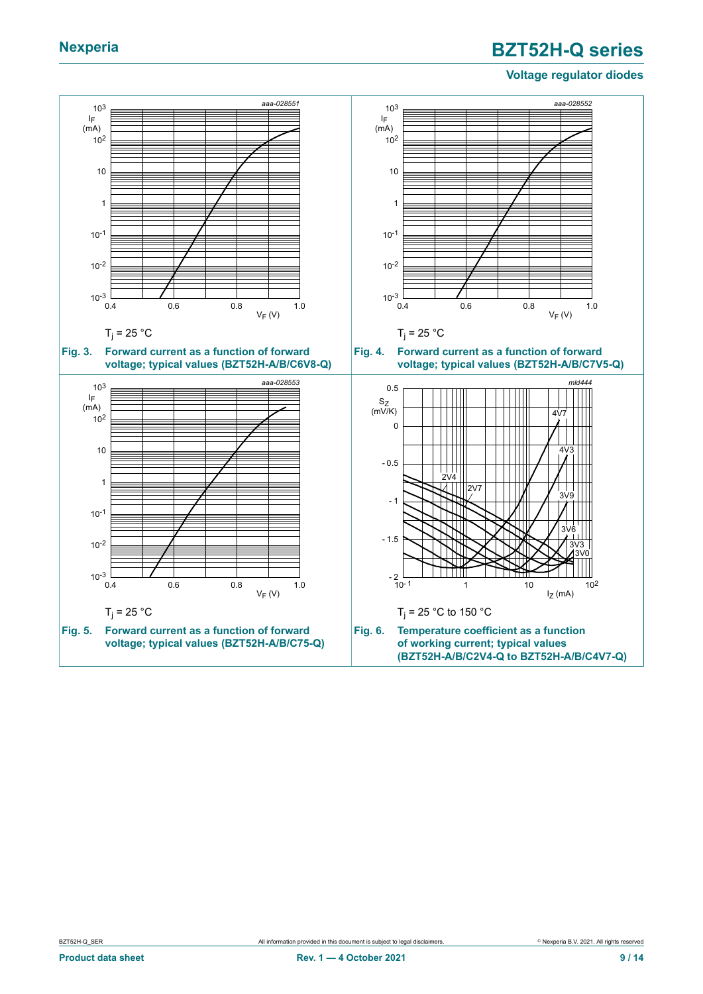### **Voltage regulator diodes**

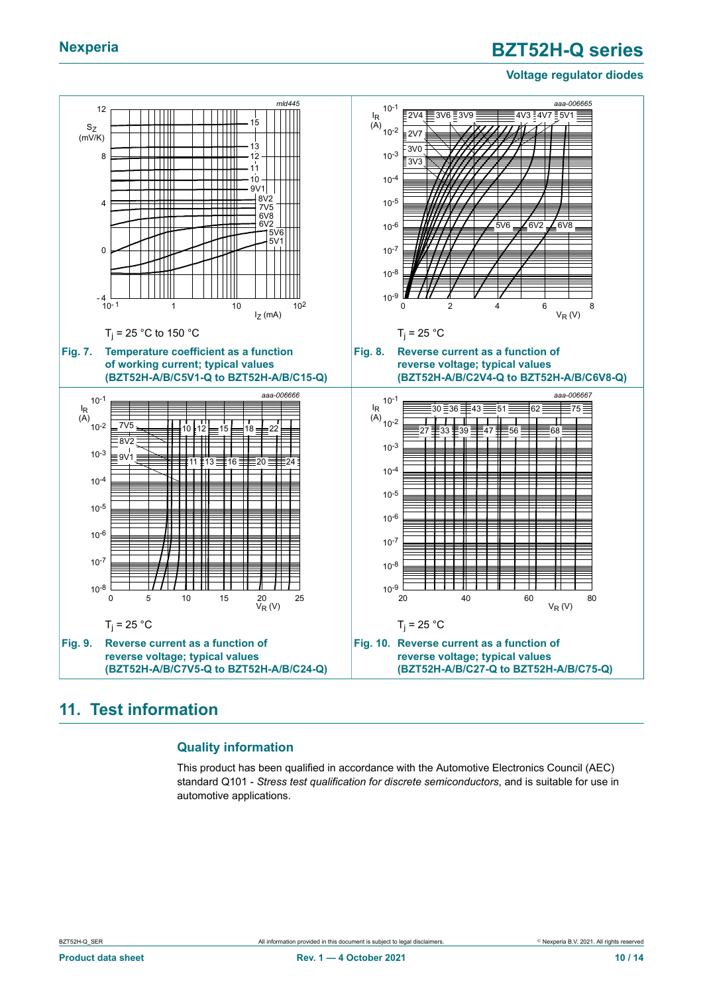### **Voltage regulator diodes**



### <span id="page-9-0"></span>**11. Test information**

### **Quality information**

This product has been qualified in accordance with the Automotive Electronics Council (AEC) standard Q101 - *Stress test qualification for discrete semiconductors*, and is suitable for use in automotive applications.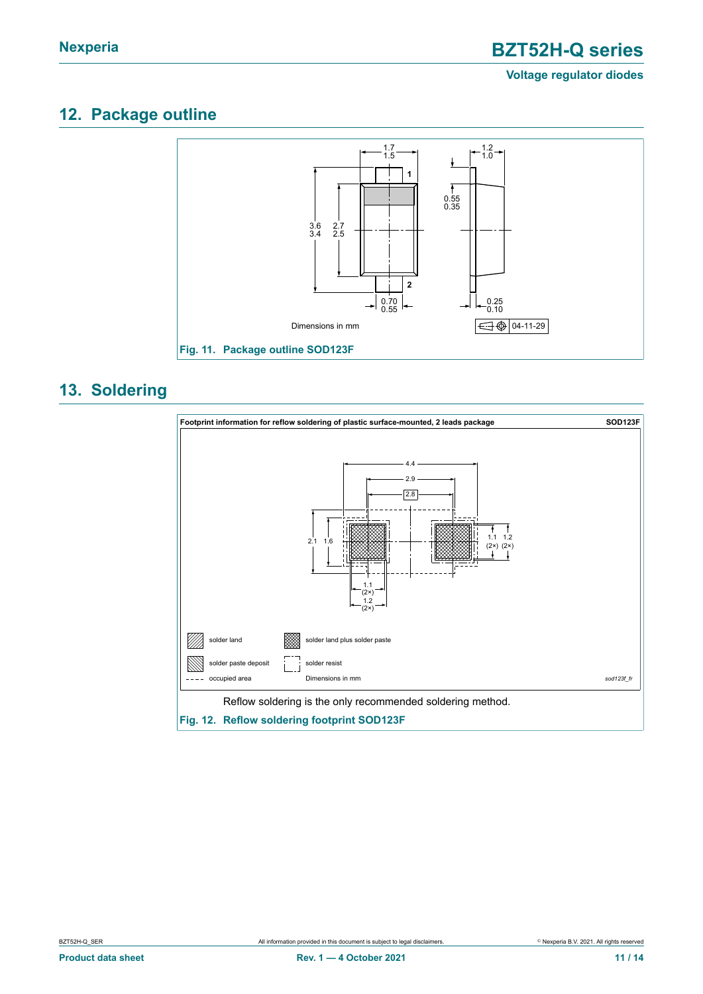### **Voltage regulator diodes**

## <span id="page-10-0"></span>**12. Package outline**



### <span id="page-10-1"></span>**13. Soldering**

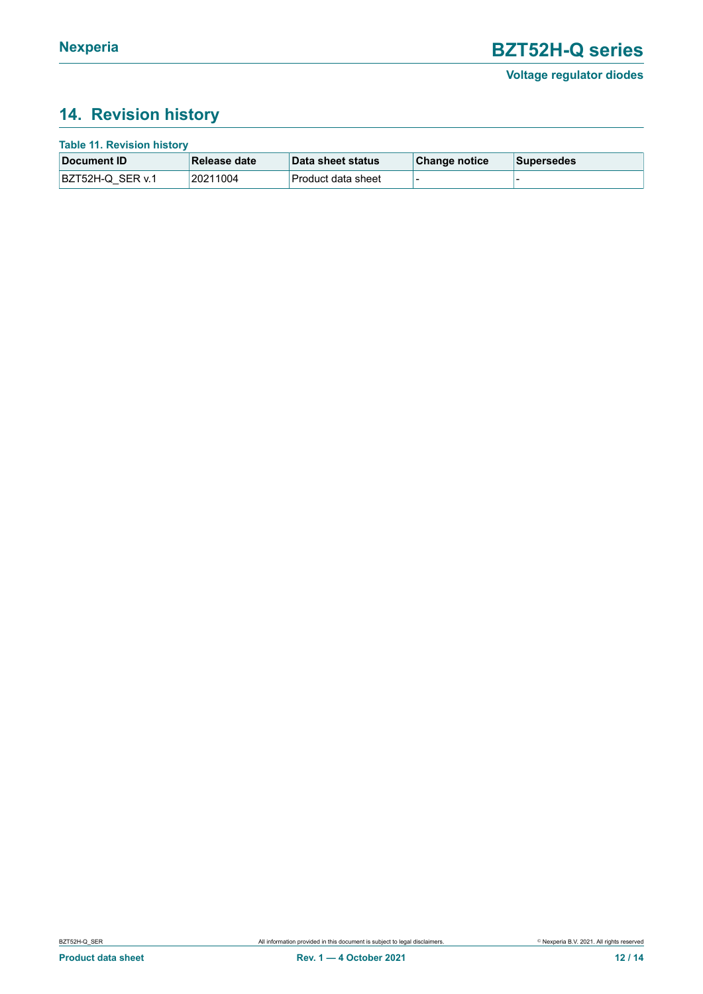## <span id="page-11-0"></span>**14. Revision history**

| <b>Table 11. Revision history</b> |                  |              |                    |               |                   |  |  |  |  |
|-----------------------------------|------------------|--------------|--------------------|---------------|-------------------|--|--|--|--|
|                                   | Document ID      | Release date | Data sheet status  | Change notice | <b>Supersedes</b> |  |  |  |  |
|                                   | BZT52H-Q SER v.1 | 20211004     | Product data sheet |               |                   |  |  |  |  |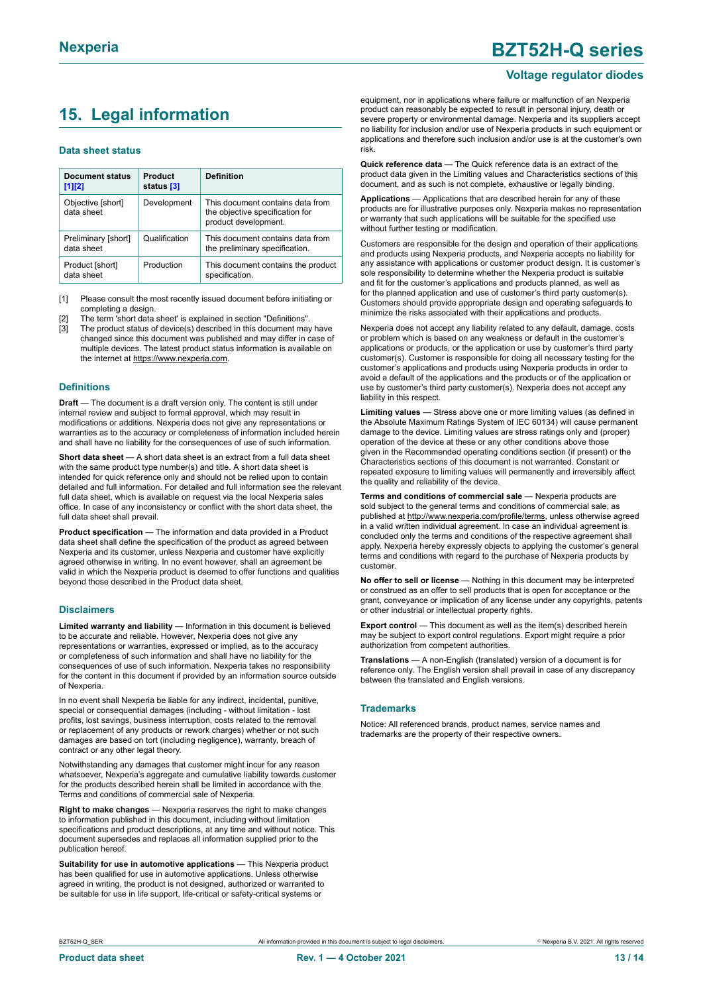## <span id="page-12-0"></span>**15. Legal information**

#### **Data sheet status**

| Document status<br>$[1]$ [2]      | Product<br>status [3] | <b>Definition</b>                                                                           |
|-----------------------------------|-----------------------|---------------------------------------------------------------------------------------------|
| Objective [short]<br>data sheet   | Development           | This document contains data from<br>the objective specification for<br>product development. |
| Preliminary [short]<br>data sheet | Qualification         | This document contains data from<br>the preliminary specification.                          |
| Product [short]<br>data sheet     | Production            | This document contains the product<br>specification.                                        |

[1] Please consult the most recently issued document before initiating or completing a design.

- The term 'short data sheet' is explained in section "Definitions".
- [3] The product status of device(s) described in this document may have changed since this document was published and may differ in case of multiple devices. The latest product status information is available on the internet at [https://www.nexperia.com.](https://www.nexperia.com)

#### **Definitions**

**Draft** — The document is a draft version only. The content is still under internal review and subject to formal approval, which may result in modifications or additions. Nexperia does not give any representations or warranties as to the accuracy or completeness of information included herein and shall have no liability for the consequences of use of such information.

**Short data sheet** — A short data sheet is an extract from a full data sheet with the same product type number(s) and title. A short data sheet is intended for quick reference only and should not be relied upon to contain detailed and full information. For detailed and full information see the relevant full data sheet, which is available on request via the local Nexperia sales office. In case of any inconsistency or conflict with the short data sheet, the full data sheet shall prevail.

**Product specification** — The information and data provided in a Product data sheet shall define the specification of the product as agreed between Nexperia and its customer, unless Nexperia and customer have explicitly agreed otherwise in writing. In no event however, shall an agreement be valid in which the Nexperia product is deemed to offer functions and qualities beyond those described in the Product data sheet.

#### **Disclaimers**

**Limited warranty and liability** — Information in this document is believed to be accurate and reliable. However, Nexperia does not give any representations or warranties, expressed or implied, as to the accuracy or completeness of such information and shall have no liability for the consequences of use of such information. Nexperia takes no responsibility for the content in this document if provided by an information source outside of Nexperia.

In no event shall Nexperia be liable for any indirect, incidental, punitive, special or consequential damages (including - without limitation - lost profits, lost savings, business interruption, costs related to the removal or replacement of any products or rework charges) whether or not such damages are based on tort (including negligence), warranty, breach of contract or any other legal theory.

Notwithstanding any damages that customer might incur for any reason whatsoever, Nexperia's aggregate and cumulative liability towards customer for the products described herein shall be limited in accordance with the Terms and conditions of commercial sale of Nexperia.

**Right to make changes** — Nexperia reserves the right to make changes to information published in this document, including without limitation specifications and product descriptions, at any time and without notice. This document supersedes and replaces all information supplied prior to the publication hereof

**Suitability for use in automotive applications** — This Nexperia product has been qualified for use in automotive applications. Unless otherwise agreed in writing, the product is not designed, authorized or warranted to be suitable for use in life support, life-critical or safety-critical systems or

## **Nexperia BZT52H-Q series**

#### **Voltage regulator diodes**

equipment, nor in applications where failure or malfunction of an Nexperia product can reasonably be expected to result in personal injury, death or severe property or environmental damage. Nexperia and its suppliers accept no liability for inclusion and/or use of Nexperia products in such equipment or applications and therefore such inclusion and/or use is at the customer's own risk.

**Quick reference data** — The Quick reference data is an extract of the product data given in the Limiting values and Characteristics sections of this document, and as such is not complete, exhaustive or legally binding.

**Applications** — Applications that are described herein for any of these products are for illustrative purposes only. Nexperia makes no representation or warranty that such applications will be suitable for the specified use without further testing or modification.

Customers are responsible for the design and operation of their applications and products using Nexperia products, and Nexperia accepts no liability for any assistance with applications or customer product design. It is customer's sole responsibility to determine whether the Nexperia product is suitable and fit for the customer's applications and products planned, as well as for the planned application and use of customer's third party customer(s). Customers should provide appropriate design and operating safeguards to minimize the risks associated with their applications and products.

Nexperia does not accept any liability related to any default, damage, costs or problem which is based on any weakness or default in the customer's applications or products, or the application or use by customer's third party customer(s). Customer is responsible for doing all necessary testing for the customer's applications and products using Nexperia products in order to avoid a default of the applications and the products or of the application or use by customer's third party customer(s). Nexperia does not accept any liability in this respect.

**Limiting values** — Stress above one or more limiting values (as defined in the Absolute Maximum Ratings System of IEC 60134) will cause permanent damage to the device. Limiting values are stress ratings only and (proper) operation of the device at these or any other conditions above those given in the Recommended operating conditions section (if present) or the Characteristics sections of this document is not warranted. Constant or repeated exposure to limiting values will permanently and irreversibly affect the quality and reliability of the device.

**Terms and conditions of commercial sale** — Nexperia products are sold subject to the general terms and conditions of commercial sale, as published at [http://www.nexperia.com/profile/terms,](http://www.nexperia.com/profile/terms) unless otherwise agreed in a valid written individual agreement. In case an individual agreement is concluded only the terms and conditions of the respective agreement shall apply. Nexperia hereby expressly objects to applying the customer's general terms and conditions with regard to the purchase of Nexperia products by customer.

**No offer to sell or license** — Nothing in this document may be interpreted or construed as an offer to sell products that is open for acceptance or the grant, conveyance or implication of any license under any copyrights, patents or other industrial or intellectual property rights.

**Export control** — This document as well as the item(s) described herein may be subject to export control regulations. Export might require a prior authorization from competent authorities.

**Translations** — A non-English (translated) version of a document is for reference only. The English version shall prevail in case of any discrepancy between the translated and English versions.

#### **Trademarks**

Notice: All referenced brands, product names, service names and trademarks are the property of their respective owners.